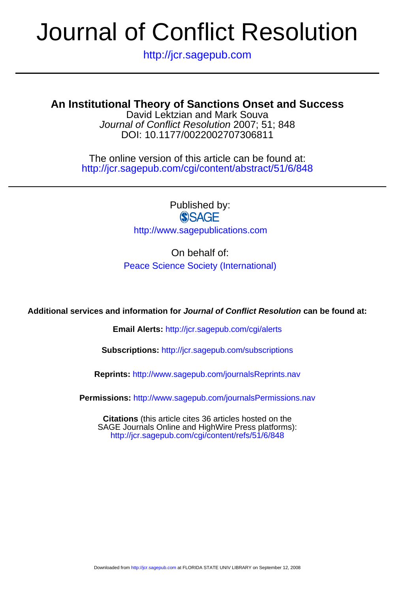# Journal of Conflict Resolution

http://jcr.sagepub.com

**An Institutional Theory of Sanctions Onset and Success**

DOI: 10.1177/0022002707306811 Journal of Conflict Resolution 2007; 51; 848 David Lektzian and Mark Souva

http://jcr.sagepub.com/cgi/content/abstract/51/6/848 The online version of this article can be found at:

> Published by: **SSAGE** http://www.sagepublications.com

On behalf of: [Peace Science Society \(International\)](http://pss.la.psu.edu/)

**Additional services and information for Journal of Conflict Resolution can be found at:**

**Email Alerts:** <http://jcr.sagepub.com/cgi/alerts>

**Subscriptions:** <http://jcr.sagepub.com/subscriptions>

**Reprints:** <http://www.sagepub.com/journalsReprints.nav>

**Permissions:** <http://www.sagepub.com/journalsPermissions.nav>

<http://jcr.sagepub.com/cgi/content/refs/51/6/848> SAGE Journals Online and HighWire Press platforms): **Citations** (this article cites 36 articles hosted on the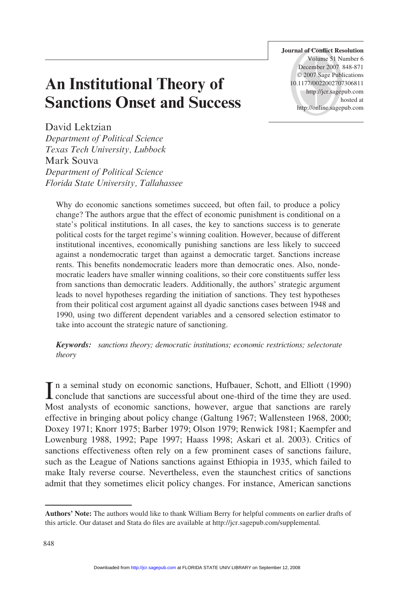Journal of Conflict Resolution

Volume 51 Number 6 December 2007 848-871 2007 Sage Publications 10.1177/0022002707306811 http://jcr.sagepub.com hosted at http://online.sagepub.com

# An Institutional Theory of Sanctions Onset and Success

David Lektzian Department of Political Science Texas Tech University, Lubbock Mark Souva Department of Political Science Florida State University, Tallahassee

Why do economic sanctions sometimes succeed, but often fail, to produce a policy change? The authors argue that the effect of economic punishment is conditional on a state's political institutions. In all cases, the key to sanctions success is to generate political costs for the target regime's winning coalition. However, because of different institutional incentives, economically punishing sanctions are less likely to succeed against a nondemocratic target than against a democratic target. Sanctions increase rents. This benefits nondemocratic leaders more than democratic ones. Also, nondemocratic leaders have smaller winning coalitions, so their core constituents suffer less from sanctions than democratic leaders. Additionally, the authors' strategic argument leads to novel hypotheses regarding the initiation of sanctions. They test hypotheses from their political cost argument against all dyadic sanctions cases between 1948 and 1990, using two different dependent variables and a censored selection estimator to take into account the strategic nature of sanctioning.

Keywords: sanctions theory; democratic institutions; economic restrictions; selectorate theory

In a seminal study on economic sanctions, Hufbauer, Schott, and Elliott (1990) conclude that sanctions are successful about one-third of the time they are used. n a seminal study on economic sanctions, Hufbauer, Schott, and Elliott (1990) Most analysts of economic sanctions, however, argue that sanctions are rarely effective in bringing about policy change (Galtung 1967; Wallensteen 1968, 2000; Doxey 1971; Knorr 1975; Barber 1979; Olson 1979; Renwick 1981; Kaempfer and Lowenburg 1988, 1992; Pape 1997; Haass 1998; Askari et al. 2003). Critics of sanctions effectiveness often rely on a few prominent cases of sanctions failure, such as the League of Nations sanctions against Ethiopia in 1935, which failed to make Italy reverse course. Nevertheless, even the staunchest critics of sanctions admit that they sometimes elicit policy changes. For instance, American sanctions

Authors' Note: The authors would like to thank William Berry for helpful comments on earlier drafts of this article. Our dataset and Stata do files are available at http://jcr.sagepub.com/supplemental.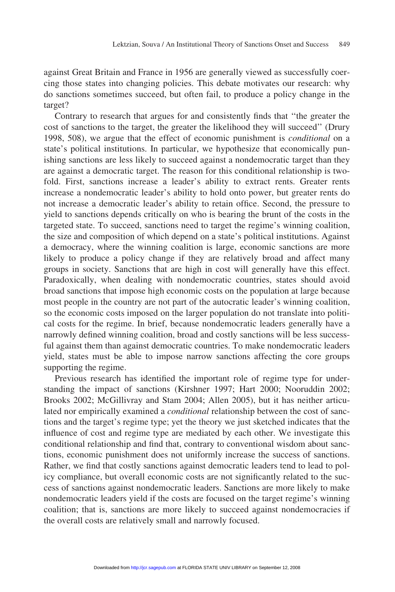against Great Britain and France in 1956 are generally viewed as successfully coercing those states into changing policies. This debate motivates our research: why do sanctions sometimes succeed, but often fail, to produce a policy change in the target?

Contrary to research that argues for and consistently finds that ''the greater the cost of sanctions to the target, the greater the likelihood they will succeed'' (Drury 1998, 508), we argue that the effect of economic punishment is conditional on a state's political institutions. In particular, we hypothesize that economically punishing sanctions are less likely to succeed against a nondemocratic target than they are against a democratic target. The reason for this conditional relationship is twofold. First, sanctions increase a leader's ability to extract rents. Greater rents increase a nondemocratic leader's ability to hold onto power, but greater rents do not increase a democratic leader's ability to retain office. Second, the pressure to yield to sanctions depends critically on who is bearing the brunt of the costs in the targeted state. To succeed, sanctions need to target the regime's winning coalition, the size and composition of which depend on a state's political institutions. Against a democracy, where the winning coalition is large, economic sanctions are more likely to produce a policy change if they are relatively broad and affect many groups in society. Sanctions that are high in cost will generally have this effect. Paradoxically, when dealing with nondemocratic countries, states should avoid broad sanctions that impose high economic costs on the population at large because most people in the country are not part of the autocratic leader's winning coalition, so the economic costs imposed on the larger population do not translate into political costs for the regime. In brief, because nondemocratic leaders generally have a narrowly defined winning coalition, broad and costly sanctions will be less successful against them than against democratic countries. To make nondemocratic leaders yield, states must be able to impose narrow sanctions affecting the core groups supporting the regime.

Previous research has identified the important role of regime type for understanding the impact of sanctions (Kirshner 1997; Hart 2000; Nooruddin 2002; Brooks 2002; McGillivray and Stam 2004; Allen 2005), but it has neither articulated nor empirically examined a conditional relationship between the cost of sanctions and the target's regime type; yet the theory we just sketched indicates that the influence of cost and regime type are mediated by each other. We investigate this conditional relationship and find that, contrary to conventional wisdom about sanctions, economic punishment does not uniformly increase the success of sanctions. Rather, we find that costly sanctions against democratic leaders tend to lead to policy compliance, but overall economic costs are not significantly related to the success of sanctions against nondemocratic leaders. Sanctions are more likely to make nondemocratic leaders yield if the costs are focused on the target regime's winning coalition; that is, sanctions are more likely to succeed against nondemocracies if the overall costs are relatively small and narrowly focused.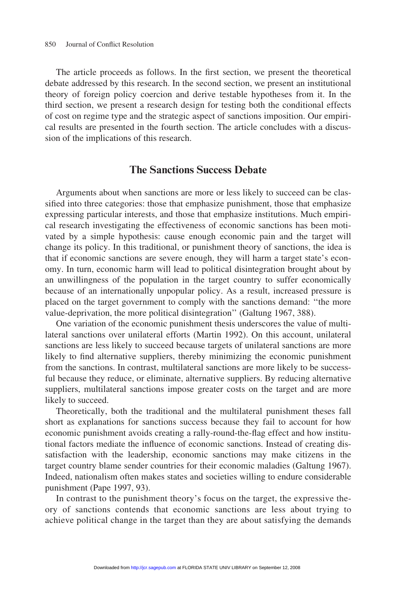The article proceeds as follows. In the first section, we present the theoretical debate addressed by this research. In the second section, we present an institutional theory of foreign policy coercion and derive testable hypotheses from it. In the third section, we present a research design for testing both the conditional effects of cost on regime type and the strategic aspect of sanctions imposition. Our empirical results are presented in the fourth section. The article concludes with a discussion of the implications of this research.

# The Sanctions Success Debate

Arguments about when sanctions are more or less likely to succeed can be classified into three categories: those that emphasize punishment, those that emphasize expressing particular interests, and those that emphasize institutions. Much empirical research investigating the effectiveness of economic sanctions has been motivated by a simple hypothesis: cause enough economic pain and the target will change its policy. In this traditional, or punishment theory of sanctions, the idea is that if economic sanctions are severe enough, they will harm a target state's economy. In turn, economic harm will lead to political disintegration brought about by an unwillingness of the population in the target country to suffer economically because of an internationally unpopular policy. As a result, increased pressure is placed on the target government to comply with the sanctions demand: ''the more value-deprivation, the more political disintegration'' (Galtung 1967, 388).

One variation of the economic punishment thesis underscores the value of multilateral sanctions over unilateral efforts (Martin 1992). On this account, unilateral sanctions are less likely to succeed because targets of unilateral sanctions are more likely to find alternative suppliers, thereby minimizing the economic punishment from the sanctions. In contrast, multilateral sanctions are more likely to be successful because they reduce, or eliminate, alternative suppliers. By reducing alternative suppliers, multilateral sanctions impose greater costs on the target and are more likely to succeed.

Theoretically, both the traditional and the multilateral punishment theses fall short as explanations for sanctions success because they fail to account for how economic punishment avoids creating a rally-round-the-flag effect and how institutional factors mediate the influence of economic sanctions. Instead of creating dissatisfaction with the leadership, economic sanctions may make citizens in the target country blame sender countries for their economic maladies (Galtung 1967). Indeed, nationalism often makes states and societies willing to endure considerable punishment (Pape 1997, 93).

In contrast to the punishment theory's focus on the target, the expressive theory of sanctions contends that economic sanctions are less about trying to achieve political change in the target than they are about satisfying the demands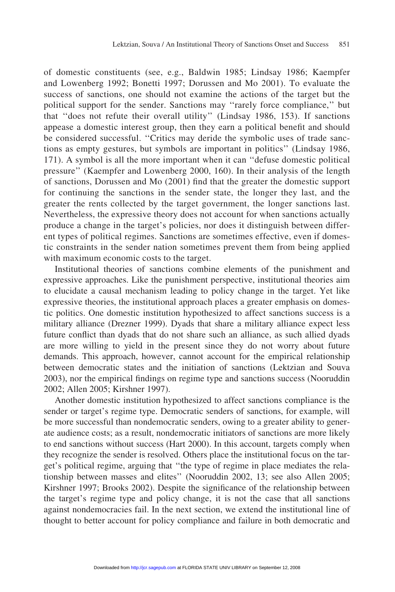of domestic constituents (see, e.g., Baldwin 1985; Lindsay 1986; Kaempfer and Lowenberg 1992; Bonetti 1997; Dorussen and Mo 2001). To evaluate the success of sanctions, one should not examine the actions of the target but the political support for the sender. Sanctions may ''rarely force compliance,'' but that ''does not refute their overall utility'' (Lindsay 1986, 153). If sanctions appease a domestic interest group, then they earn a political benefit and should be considered successful. ''Critics may deride the symbolic uses of trade sanctions as empty gestures, but symbols are important in politics'' (Lindsay 1986, 171). A symbol is all the more important when it can ''defuse domestic political pressure'' (Kaempfer and Lowenberg 2000, 160). In their analysis of the length of sanctions, Dorussen and Mo (2001) find that the greater the domestic support for continuing the sanctions in the sender state, the longer they last, and the greater the rents collected by the target government, the longer sanctions last. Nevertheless, the expressive theory does not account for when sanctions actually produce a change in the target's policies, nor does it distinguish between different types of political regimes. Sanctions are sometimes effective, even if domestic constraints in the sender nation sometimes prevent them from being applied with maximum economic costs to the target.

Institutional theories of sanctions combine elements of the punishment and expressive approaches. Like the punishment perspective, institutional theories aim to elucidate a causal mechanism leading to policy change in the target. Yet like expressive theories, the institutional approach places a greater emphasis on domestic politics. One domestic institution hypothesized to affect sanctions success is a military alliance (Drezner 1999). Dyads that share a military alliance expect less future conflict than dyads that do not share such an alliance, as such allied dyads are more willing to yield in the present since they do not worry about future demands. This approach, however, cannot account for the empirical relationship between democratic states and the initiation of sanctions (Lektzian and Souva 2003), nor the empirical findings on regime type and sanctions success (Nooruddin 2002; Allen 2005; Kirshner 1997).

Another domestic institution hypothesized to affect sanctions compliance is the sender or target's regime type. Democratic senders of sanctions, for example, will be more successful than nondemocratic senders, owing to a greater ability to generate audience costs; as a result, nondemocratic initiators of sanctions are more likely to end sanctions without success (Hart 2000). In this account, targets comply when they recognize the sender is resolved. Others place the institutional focus on the target's political regime, arguing that ''the type of regime in place mediates the relationship between masses and elites'' (Nooruddin 2002, 13; see also Allen 2005; Kirshner 1997; Brooks 2002). Despite the significance of the relationship between the target's regime type and policy change, it is not the case that all sanctions against nondemocracies fail. In the next section, we extend the institutional line of thought to better account for policy compliance and failure in both democratic and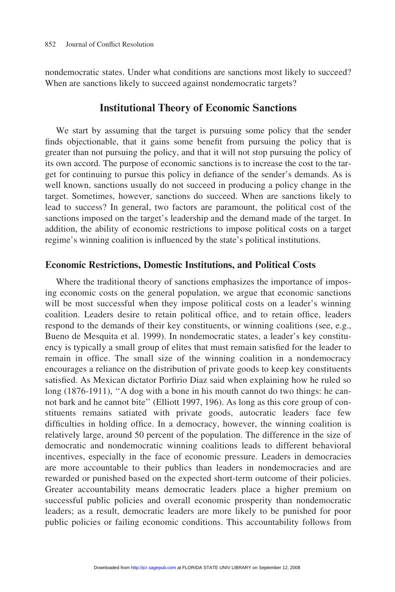nondemocratic states. Under what conditions are sanctions most likely to succeed? When are sanctions likely to succeed against nondemocratic targets?

# Institutional Theory of Economic Sanctions

We start by assuming that the target is pursuing some policy that the sender finds objectionable, that it gains some benefit from pursuing the policy that is greater than not pursuing the policy, and that it will not stop pursuing the policy of its own accord. The purpose of economic sanctions is to increase the cost to the target for continuing to pursue this policy in defiance of the sender's demands. As is well known, sanctions usually do not succeed in producing a policy change in the target. Sometimes, however, sanctions do succeed. When are sanctions likely to lead to success? In general, two factors are paramount, the political cost of the sanctions imposed on the target's leadership and the demand made of the target. In addition, the ability of economic restrictions to impose political costs on a target regime's winning coalition is influenced by the state's political institutions.

#### Economic Restrictions, Domestic Institutions, and Political Costs

Where the traditional theory of sanctions emphasizes the importance of imposing economic costs on the general population, we argue that economic sanctions will be most successful when they impose political costs on a leader's winning coalition. Leaders desire to retain political office, and to retain office, leaders respond to the demands of their key constituents, or winning coalitions (see, e.g., Bueno de Mesquita et al. 1999). In nondemocratic states, a leader's key constituency is typically a small group of elites that must remain satisfied for the leader to remain in office. The small size of the winning coalition in a nondemocracy encourages a reliance on the distribution of private goods to keep key constituents satisfied. As Mexican dictator Porfirio Diaz said when explaining how he ruled so long (1876-1911), "A dog with a bone in his mouth cannot do two things: he cannot bark and he cannot bite'' (Elliott 1997, 196). As long as this core group of constituents remains satiated with private goods, autocratic leaders face few difficulties in holding office. In a democracy, however, the winning coalition is relatively large, around 50 percent of the population. The difference in the size of democratic and nondemocratic winning coalitions leads to different behavioral incentives, especially in the face of economic pressure. Leaders in democracies are more accountable to their publics than leaders in nondemocracies and are rewarded or punished based on the expected short-term outcome of their policies. Greater accountability means democratic leaders place a higher premium on successful public policies and overall economic prosperity than nondemocratic leaders; as a result, democratic leaders are more likely to be punished for poor public policies or failing economic conditions. This accountability follows from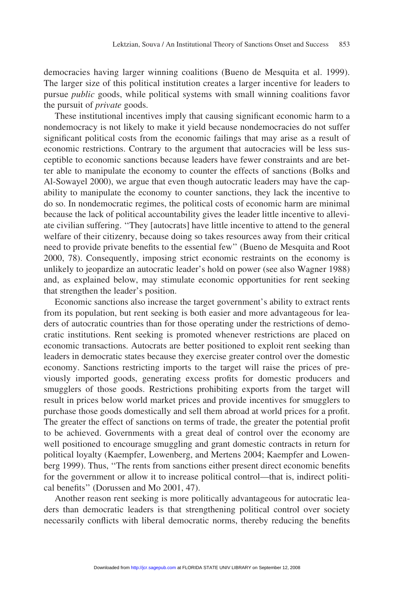democracies having larger winning coalitions (Bueno de Mesquita et al. 1999). The larger size of this political institution creates a larger incentive for leaders to pursue public goods, while political systems with small winning coalitions favor the pursuit of private goods.

These institutional incentives imply that causing significant economic harm to a nondemocracy is not likely to make it yield because nondemocracies do not suffer significant political costs from the economic failings that may arise as a result of economic restrictions. Contrary to the argument that autocracies will be less susceptible to economic sanctions because leaders have fewer constraints and are better able to manipulate the economy to counter the effects of sanctions (Bolks and Al-Sowayel 2000), we argue that even though autocratic leaders may have the capability to manipulate the economy to counter sanctions, they lack the incentive to do so. In nondemocratic regimes, the political costs of economic harm are minimal because the lack of political accountability gives the leader little incentive to alleviate civilian suffering. ''They [autocrats] have little incentive to attend to the general welfare of their citizenry, because doing so takes resources away from their critical need to provide private benefits to the essential few'' (Bueno de Mesquita and Root 2000, 78). Consequently, imposing strict economic restraints on the economy is unlikely to jeopardize an autocratic leader's hold on power (see also Wagner 1988) and, as explained below, may stimulate economic opportunities for rent seeking that strengthen the leader's position.

Economic sanctions also increase the target government's ability to extract rents from its population, but rent seeking is both easier and more advantageous for leaders of autocratic countries than for those operating under the restrictions of democratic institutions. Rent seeking is promoted whenever restrictions are placed on economic transactions. Autocrats are better positioned to exploit rent seeking than leaders in democratic states because they exercise greater control over the domestic economy. Sanctions restricting imports to the target will raise the prices of previously imported goods, generating excess profits for domestic producers and smugglers of those goods. Restrictions prohibiting exports from the target will result in prices below world market prices and provide incentives for smugglers to purchase those goods domestically and sell them abroad at world prices for a profit. The greater the effect of sanctions on terms of trade, the greater the potential profit to be achieved. Governments with a great deal of control over the economy are well positioned to encourage smuggling and grant domestic contracts in return for political loyalty (Kaempfer, Lowenberg, and Mertens 2004; Kaempfer and Lowenberg 1999). Thus, ''The rents from sanctions either present direct economic benefits for the government or allow it to increase political control—that is, indirect political benefits'' (Dorussen and Mo 2001, 47).

Another reason rent seeking is more politically advantageous for autocratic leaders than democratic leaders is that strengthening political control over society necessarily conflicts with liberal democratic norms, thereby reducing the benefits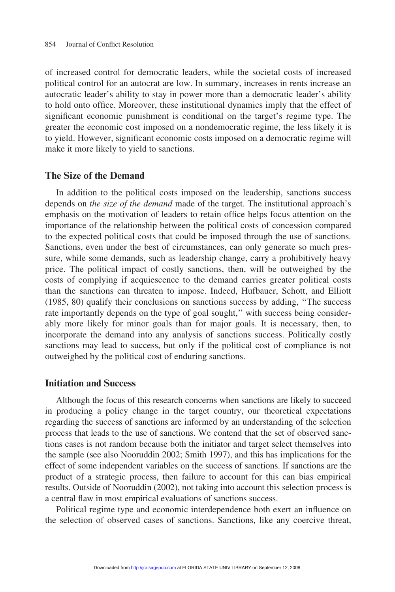of increased control for democratic leaders, while the societal costs of increased political control for an autocrat are low. In summary, increases in rents increase an autocratic leader's ability to stay in power more than a democratic leader's ability to hold onto office. Moreover, these institutional dynamics imply that the effect of significant economic punishment is conditional on the target's regime type. The greater the economic cost imposed on a nondemocratic regime, the less likely it is to yield. However, significant economic costs imposed on a democratic regime will make it more likely to yield to sanctions.

#### The Size of the Demand

In addition to the political costs imposed on the leadership, sanctions success depends on the size of the demand made of the target. The institutional approach's emphasis on the motivation of leaders to retain office helps focus attention on the importance of the relationship between the political costs of concession compared to the expected political costs that could be imposed through the use of sanctions. Sanctions, even under the best of circumstances, can only generate so much pressure, while some demands, such as leadership change, carry a prohibitively heavy price. The political impact of costly sanctions, then, will be outweighed by the costs of complying if acquiescence to the demand carries greater political costs than the sanctions can threaten to impose. Indeed, Hufbauer, Schott, and Elliott (1985, 80) qualify their conclusions on sanctions success by adding, ''The success rate importantly depends on the type of goal sought,'' with success being considerably more likely for minor goals than for major goals. It is necessary, then, to incorporate the demand into any analysis of sanctions success. Politically costly sanctions may lead to success, but only if the political cost of compliance is not outweighed by the political cost of enduring sanctions.

#### Initiation and Success

Although the focus of this research concerns when sanctions are likely to succeed in producing a policy change in the target country, our theoretical expectations regarding the success of sanctions are informed by an understanding of the selection process that leads to the use of sanctions. We contend that the set of observed sanctions cases is not random because both the initiator and target select themselves into the sample (see also Nooruddin 2002; Smith 1997), and this has implications for the effect of some independent variables on the success of sanctions. If sanctions are the product of a strategic process, then failure to account for this can bias empirical results. Outside of Nooruddin (2002), not taking into account this selection process is a central flaw in most empirical evaluations of sanctions success.

Political regime type and economic interdependence both exert an influence on the selection of observed cases of sanctions. Sanctions, like any coercive threat,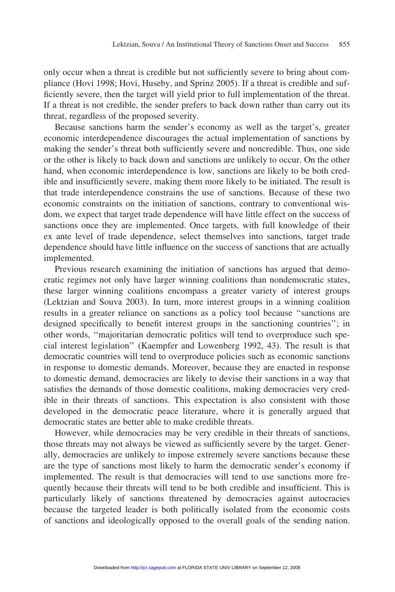only occur when a threat is credible but not sufficiently severe to bring about compliance (Hovi 1998; Hovi, Huseby, and Sprinz 2005). If a threat is credible and sufficiently severe, then the target will yield prior to full implementation of the threat. If a threat is not credible, the sender prefers to back down rather than carry out its threat, regardless of the proposed severity.

Because sanctions harm the sender's economy as well as the target's, greater economic interdependence discourages the actual implementation of sanctions by making the sender's threat both sufficiently severe and noncredible. Thus, one side or the other is likely to back down and sanctions are unlikely to occur. On the other hand, when economic interdependence is low, sanctions are likely to be both credible and insufficiently severe, making them more likely to be initiated. The result is that trade interdependence constrains the use of sanctions. Because of these two economic constraints on the initiation of sanctions, contrary to conventional wisdom, we expect that target trade dependence will have little effect on the success of sanctions once they are implemented. Once targets, with full knowledge of their ex ante level of trade dependence, select themselves into sanctions, target trade dependence should have little influence on the success of sanctions that are actually implemented.

Previous research examining the initiation of sanctions has argued that democratic regimes not only have larger winning coalitions than nondemocratic states, these larger winning coalitions encompass a greater variety of interest groups (Lektzian and Souva 2003). In turn, more interest groups in a winning coalition results in a greater reliance on sanctions as a policy tool because ''sanctions are designed specifically to benefit interest groups in the sanctioning countries''; in other words, ''majoritarian democratic politics will tend to overproduce such special interest legislation'' (Kaempfer and Lowenberg 1992, 43). The result is that democratic countries will tend to overproduce policies such as economic sanctions in response to domestic demands. Moreover, because they are enacted in response to domestic demand, democracies are likely to devise their sanctions in a way that satisfies the demands of those domestic coalitions, making democracies very credible in their threats of sanctions. This expectation is also consistent with those developed in the democratic peace literature, where it is generally argued that democratic states are better able to make credible threats.

However, while democracies may be very credible in their threats of sanctions, those threats may not always be viewed as sufficiently severe by the target. Generally, democracies are unlikely to impose extremely severe sanctions because these are the type of sanctions most likely to harm the democratic sender's economy if implemented. The result is that democracies will tend to use sanctions more frequently because their threats will tend to be both credible and insufficient. This is particularly likely of sanctions threatened by democracies against autocracies because the targeted leader is both politically isolated from the economic costs of sanctions and ideologically opposed to the overall goals of the sending nation.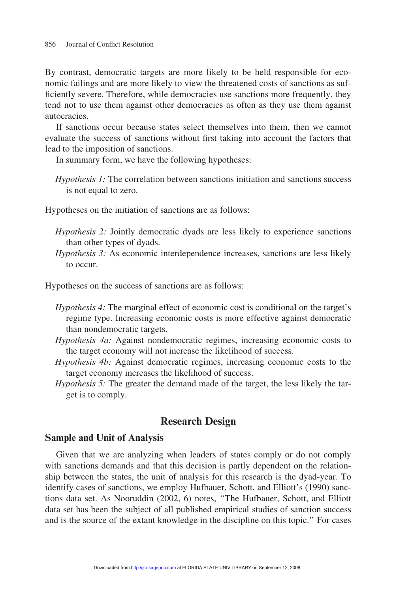By contrast, democratic targets are more likely to be held responsible for economic failings and are more likely to view the threatened costs of sanctions as sufficiently severe. Therefore, while democracies use sanctions more frequently, they tend not to use them against other democracies as often as they use them against autocracies.

If sanctions occur because states select themselves into them, then we cannot evaluate the success of sanctions without first taking into account the factors that lead to the imposition of sanctions.

In summary form, we have the following hypotheses:

Hypothesis 1: The correlation between sanctions initiation and sanctions success is not equal to zero.

Hypotheses on the initiation of sanctions are as follows:

- Hypothesis 2: Jointly democratic dyads are less likely to experience sanctions than other types of dyads.
- Hypothesis 3: As economic interdependence increases, sanctions are less likely to occur.

Hypotheses on the success of sanctions are as follows:

- Hypothesis 4: The marginal effect of economic cost is conditional on the target's regime type. Increasing economic costs is more effective against democratic than nondemocratic targets.
- Hypothesis 4a: Against nondemocratic regimes, increasing economic costs to the target economy will not increase the likelihood of success.
- Hypothesis 4b: Against democratic regimes, increasing economic costs to the target economy increases the likelihood of success.
- Hypothesis 5: The greater the demand made of the target, the less likely the target is to comply.

# Research Design

#### Sample and Unit of Analysis

Given that we are analyzing when leaders of states comply or do not comply with sanctions demands and that this decision is partly dependent on the relationship between the states, the unit of analysis for this research is the dyad-year. To identify cases of sanctions, we employ Hufbauer, Schott, and Elliott's (1990) sanctions data set. As Nooruddin (2002, 6) notes, ''The Hufbauer, Schott, and Elliott data set has been the subject of all published empirical studies of sanction success and is the source of the extant knowledge in the discipline on this topic.'' For cases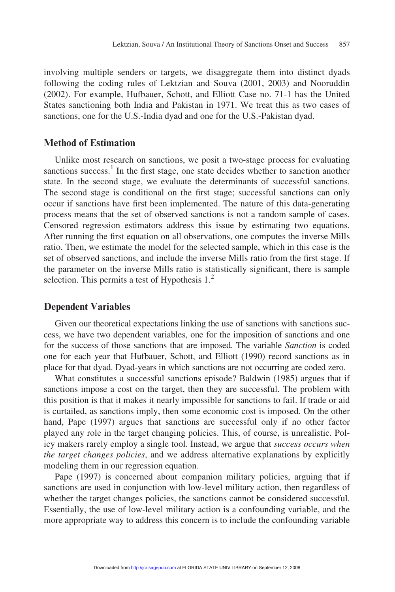involving multiple senders or targets, we disaggregate them into distinct dyads following the coding rules of Lektzian and Souva (2001, 2003) and Nooruddin (2002). For example, Hufbauer, Schott, and Elliott Case no. 71-1 has the United States sanctioning both India and Pakistan in 1971. We treat this as two cases of sanctions, one for the U.S.-India dyad and one for the U.S.-Pakistan dyad.

#### Method of Estimation

Unlike most research on sanctions, we posit a two-stage process for evaluating sanctions success.<sup>1</sup> In the first stage, one state decides whether to sanction another state. In the second stage, we evaluate the determinants of successful sanctions. The second stage is conditional on the first stage; successful sanctions can only occur if sanctions have first been implemented. The nature of this data-generating process means that the set of observed sanctions is not a random sample of cases. Censored regression estimators address this issue by estimating two equations. After running the first equation on all observations, one computes the inverse Mills ratio. Then, we estimate the model for the selected sample, which in this case is the set of observed sanctions, and include the inverse Mills ratio from the first stage. If the parameter on the inverse Mills ratio is statistically significant, there is sample selection. This permits a test of Hypothesis  $1<sup>2</sup>$ .

#### Dependent Variables

Given our theoretical expectations linking the use of sanctions with sanctions success, we have two dependent variables, one for the imposition of sanctions and one for the success of those sanctions that are imposed. The variable Sanction is coded one for each year that Hufbauer, Schott, and Elliott (1990) record sanctions as in place for that dyad. Dyad-years in which sanctions are not occurring are coded zero.

What constitutes a successful sanctions episode? Baldwin (1985) argues that if sanctions impose a cost on the target, then they are successful. The problem with this position is that it makes it nearly impossible for sanctions to fail. If trade or aid is curtailed, as sanctions imply, then some economic cost is imposed. On the other hand, Pape (1997) argues that sanctions are successful only if no other factor played any role in the target changing policies. This, of course, is unrealistic. Policy makers rarely employ a single tool. Instead, we argue that success occurs when the target changes policies, and we address alternative explanations by explicitly modeling them in our regression equation.

Pape (1997) is concerned about companion military policies, arguing that if sanctions are used in conjunction with low-level military action, then regardless of whether the target changes policies, the sanctions cannot be considered successful. Essentially, the use of low-level military action is a confounding variable, and the more appropriate way to address this concern is to include the confounding variable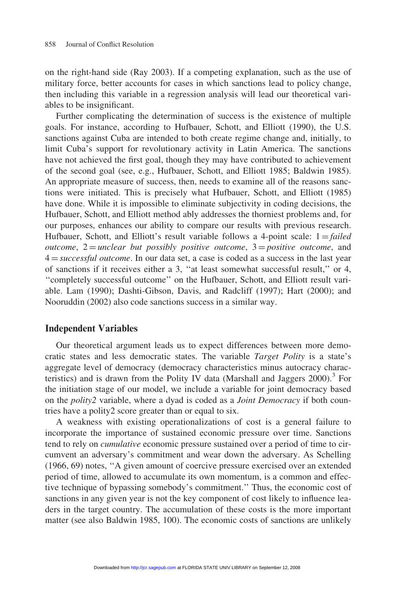on the right-hand side (Ray 2003). If a competing explanation, such as the use of military force, better accounts for cases in which sanctions lead to policy change, then including this variable in a regression analysis will lead our theoretical variables to be insignificant.

Further complicating the determination of success is the existence of multiple goals. For instance, according to Hufbauer, Schott, and Elliott (1990), the U.S. sanctions against Cuba are intended to both create regime change and, initially, to limit Cuba's support for revolutionary activity in Latin America. The sanctions have not achieved the first goal, though they may have contributed to achievement of the second goal (see, e.g., Hufbauer, Schott, and Elliott 1985; Baldwin 1985). An appropriate measure of success, then, needs to examine all of the reasons sanctions were initiated. This is precisely what Hufbauer, Schott, and Elliott (1985) have done. While it is impossible to eliminate subjectivity in coding decisions, the Hufbauer, Schott, and Elliott method ably addresses the thorniest problems and, for our purposes, enhances our ability to compare our results with previous research. Hufbauer, Schott, and Elliott's result variable follows a 4-point scale:  $1 = failed$ outcome,  $2 =$ unclear but possibly positive outcome,  $3 =$  positive outcome, and  $4 = successful outcome$ . In our data set, a case is coded as a success in the last year of sanctions if it receives either a 3, ''at least somewhat successful result,'' or 4, ''completely successful outcome'' on the Hufbauer, Schott, and Elliott result variable. Lam (1990); Dashti-Gibson, Davis, and Radcliff (1997); Hart (2000); and Nooruddin (2002) also code sanctions success in a similar way.

#### Independent Variables

Our theoretical argument leads us to expect differences between more democratic states and less democratic states. The variable Target Polity is a state's aggregate level of democracy (democracy characteristics minus autocracy characteristics) and is drawn from the Polity IV data (Marshall and Jaggers  $2000$ ).<sup>3</sup> For the initiation stage of our model, we include a variable for joint democracy based on the *polity2* variable, where a dyad is coded as a *Joint Democracy* if both countries have a polity2 score greater than or equal to six.

A weakness with existing operationalizations of cost is a general failure to incorporate the importance of sustained economic pressure over time. Sanctions tend to rely on cumulative economic pressure sustained over a period of time to circumvent an adversary's commitment and wear down the adversary. As Schelling (1966, 69) notes, ''A given amount of coercive pressure exercised over an extended period of time, allowed to accumulate its own momentum, is a common and effective technique of bypassing somebody's commitment.'' Thus, the economic cost of sanctions in any given year is not the key component of cost likely to influence leaders in the target country. The accumulation of these costs is the more important matter (see also Baldwin 1985, 100). The economic costs of sanctions are unlikely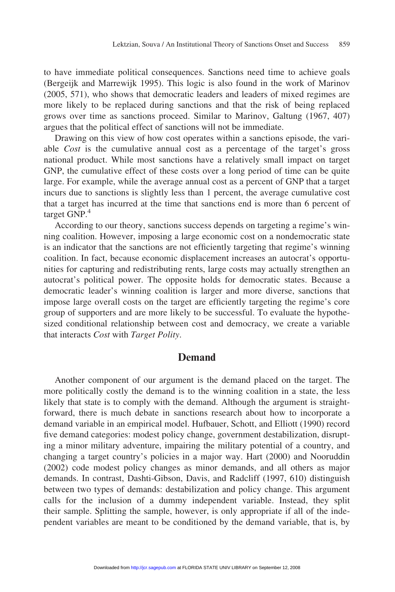to have immediate political consequences. Sanctions need time to achieve goals (Bergeijk and Marrewijk 1995). This logic is also found in the work of Marinov (2005, 571), who shows that democratic leaders and leaders of mixed regimes are more likely to be replaced during sanctions and that the risk of being replaced grows over time as sanctions proceed. Similar to Marinov, Galtung (1967, 407) argues that the political effect of sanctions will not be immediate.

Drawing on this view of how cost operates within a sanctions episode, the variable Cost is the cumulative annual cost as a percentage of the target's gross national product. While most sanctions have a relatively small impact on target GNP, the cumulative effect of these costs over a long period of time can be quite large. For example, while the average annual cost as a percent of GNP that a target incurs due to sanctions is slightly less than 1 percent, the average cumulative cost that a target has incurred at the time that sanctions end is more than 6 percent of target GNP.<sup>4</sup>

According to our theory, sanctions success depends on targeting a regime's winning coalition. However, imposing a large economic cost on a nondemocratic state is an indicator that the sanctions are not efficiently targeting that regime's winning coalition. In fact, because economic displacement increases an autocrat's opportunities for capturing and redistributing rents, large costs may actually strengthen an autocrat's political power. The opposite holds for democratic states. Because a democratic leader's winning coalition is larger and more diverse, sanctions that impose large overall costs on the target are efficiently targeting the regime's core group of supporters and are more likely to be successful. To evaluate the hypothesized conditional relationship between cost and democracy, we create a variable that interacts Cost with Target Polity.

## Demand

Another component of our argument is the demand placed on the target. The more politically costly the demand is to the winning coalition in a state, the less likely that state is to comply with the demand. Although the argument is straightforward, there is much debate in sanctions research about how to incorporate a demand variable in an empirical model. Hufbauer, Schott, and Elliott (1990) record five demand categories: modest policy change, government destabilization, disrupting a minor military adventure, impairing the military potential of a country, and changing a target country's policies in a major way. Hart (2000) and Nooruddin (2002) code modest policy changes as minor demands, and all others as major demands. In contrast, Dashti-Gibson, Davis, and Radcliff (1997, 610) distinguish between two types of demands: destabilization and policy change. This argument calls for the inclusion of a dummy independent variable. Instead, they split their sample. Splitting the sample, however, is only appropriate if all of the independent variables are meant to be conditioned by the demand variable, that is, by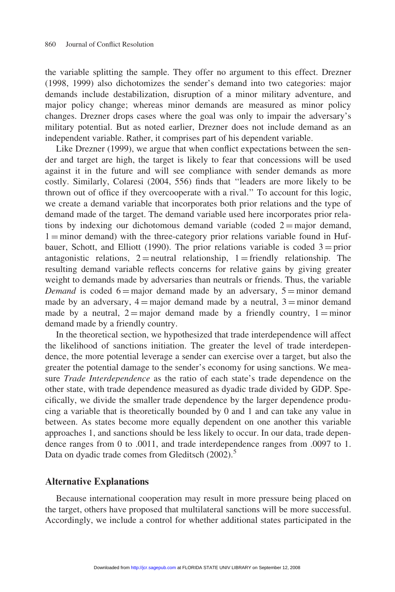the variable splitting the sample. They offer no argument to this effect. Drezner (1998, 1999) also dichotomizes the sender's demand into two categories: major demands include destabilization, disruption of a minor military adventure, and major policy change; whereas minor demands are measured as minor policy changes. Drezner drops cases where the goal was only to impair the adversary's military potential. But as noted earlier, Drezner does not include demand as an independent variable. Rather, it comprises part of his dependent variable.

Like Drezner (1999), we argue that when conflict expectations between the sender and target are high, the target is likely to fear that concessions will be used against it in the future and will see compliance with sender demands as more costly. Similarly, Colaresi (2004, 556) finds that ''leaders are more likely to be thrown out of office if they overcooperate with a rival.'' To account for this logic, we create a demand variable that incorporates both prior relations and the type of demand made of the target. The demand variable used here incorporates prior relations by indexing our dichotomous demand variable (coded  $2 = \text{major demand}$ ,  $1 =$  minor demand) with the three-category prior relations variable found in Hufbauer, Schott, and Elliott (1990). The prior relations variable is coded  $3 = prior$ antagonistic relations,  $2$  = neutral relationship,  $1$  = friendly relationship. The resulting demand variable reflects concerns for relative gains by giving greater weight to demands made by adversaries than neutrals or friends. Thus, the variable Demand is coded  $6 = \text{major demand}$  made by an adversary,  $5 = \text{minor demand}$ made by an adversary,  $4 = \text{major demand}$  made by a neutral,  $3 = \text{minor demand}$ made by a neutral,  $2 =$  major demand made by a friendly country,  $1 =$  minor demand made by a friendly country.

In the theoretical section, we hypothesized that trade interdependence will affect the likelihood of sanctions initiation. The greater the level of trade interdependence, the more potential leverage a sender can exercise over a target, but also the greater the potential damage to the sender's economy for using sanctions. We measure Trade Interdependence as the ratio of each state's trade dependence on the other state, with trade dependence measured as dyadic trade divided by GDP. Specifically, we divide the smaller trade dependence by the larger dependence producing a variable that is theoretically bounded by 0 and 1 and can take any value in between. As states become more equally dependent on one another this variable approaches 1, and sanctions should be less likely to occur. In our data, trade dependence ranges from 0 to .0011, and trade interdependence ranges from .0097 to 1. Data on dyadic trade comes from Gleditsch (2002).<sup>5</sup>

#### Alternative Explanations

Because international cooperation may result in more pressure being placed on the target, others have proposed that multilateral sanctions will be more successful. Accordingly, we include a control for whether additional states participated in the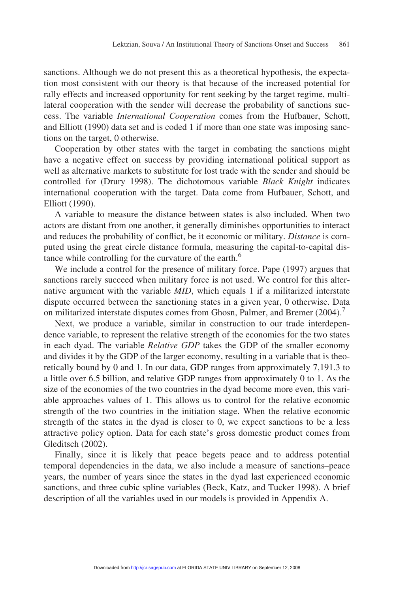sanctions. Although we do not present this as a theoretical hypothesis, the expectation most consistent with our theory is that because of the increased potential for rally effects and increased opportunity for rent seeking by the target regime, multilateral cooperation with the sender will decrease the probability of sanctions success. The variable International Cooperation comes from the Hufbauer, Schott, and Elliott (1990) data set and is coded 1 if more than one state was imposing sanctions on the target, 0 otherwise.

Cooperation by other states with the target in combating the sanctions might have a negative effect on success by providing international political support as well as alternative markets to substitute for lost trade with the sender and should be controlled for (Drury 1998). The dichotomous variable Black Knight indicates international cooperation with the target. Data come from Hufbauer, Schott, and Elliott (1990).

A variable to measure the distance between states is also included. When two actors are distant from one another, it generally diminishes opportunities to interact and reduces the probability of conflict, be it economic or military. Distance is computed using the great circle distance formula, measuring the capital-to-capital distance while controlling for the curvature of the earth.<sup>6</sup>

We include a control for the presence of military force. Pape (1997) argues that sanctions rarely succeed when military force is not used. We control for this alternative argument with the variable MID, which equals 1 if a militarized interstate dispute occurred between the sanctioning states in a given year, 0 otherwise. Data on militarized interstate disputes comes from Ghosn, Palmer, and Bremer (2004).<sup>7</sup>

Next, we produce a variable, similar in construction to our trade interdependence variable, to represent the relative strength of the economies for the two states in each dyad. The variable Relative GDP takes the GDP of the smaller economy and divides it by the GDP of the larger economy, resulting in a variable that is theoretically bound by 0 and 1. In our data, GDP ranges from approximately 7,191.3 to a little over 6.5 billion, and relative GDP ranges from approximately 0 to 1. As the size of the economies of the two countries in the dyad become more even, this variable approaches values of 1. This allows us to control for the relative economic strength of the two countries in the initiation stage. When the relative economic strength of the states in the dyad is closer to 0, we expect sanctions to be a less attractive policy option. Data for each state's gross domestic product comes from Gleditsch (2002).

Finally, since it is likely that peace begets peace and to address potential temporal dependencies in the data, we also include a measure of sanctions–peace years, the number of years since the states in the dyad last experienced economic sanctions, and three cubic spline variables (Beck, Katz, and Tucker 1998). A brief description of all the variables used in our models is provided in Appendix A.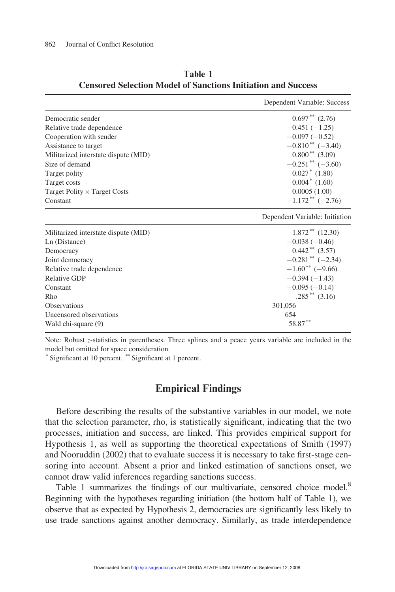|                                      | Dependent Variable: Success      |
|--------------------------------------|----------------------------------|
| Democratic sender                    | $0.697**$ (2.76)                 |
| Relative trade dependence            | $-0.451(-1.25)$                  |
| Cooperation with sender              | $-0.097(-0.52)$                  |
| Assistance to target                 | $-0.810**(-3.40)$                |
| Militarized interstate dispute (MID) | $0.800**$ (3.09)                 |
| Size of demand                       | $-0.251$ <sup>**</sup> $(-3.60)$ |
| Target polity                        | $0.027^*$ (1.80)                 |
| Target costs                         | $0.004*$ (1.60)                  |
| Target Polity $\times$ Target Costs  | 0.0005(1.00)                     |
| Constant                             | $-1.172** (-2.76)$               |

Table 1 Censored Selection Model of Sanctions Initiation and Success

| $1.872**$ (12.30)                |
|----------------------------------|
| $-0.038(-0.46)$                  |
| $0.442**$ (3.57)                 |
| $-0.281$ <sup>**</sup> $(-2.34)$ |
| $-1.60^{**}$ (-9.66)             |
| $-0.394(-1.43)$                  |
| $-0.095(-0.14)$                  |
| $.285**$ (3.16)                  |
| 301,056                          |
| 654                              |
| 58.87**                          |
|                                  |

Dependent Variable: Initiation

Note: Robust z-statistics in parentheses. Three splines and a peace years variable are included in the model but omitted for space consideration.

\* Significant at 10 percent. \*\* Significant at 1 percent.

# Empirical Findings

Before describing the results of the substantive variables in our model, we note that the selection parameter, rho, is statistically significant, indicating that the two processes, initiation and success, are linked. This provides empirical support for Hypothesis 1, as well as supporting the theoretical expectations of Smith (1997) and Nooruddin (2002) that to evaluate success it is necessary to take first-stage censoring into account. Absent a prior and linked estimation of sanctions onset, we cannot draw valid inferences regarding sanctions success.

Table 1 summarizes the findings of our multivariate, censored choice model.<sup>8</sup> Beginning with the hypotheses regarding initiation (the bottom half of Table 1), we observe that as expected by Hypothesis 2, democracies are significantly less likely to use trade sanctions against another democracy. Similarly, as trade interdependence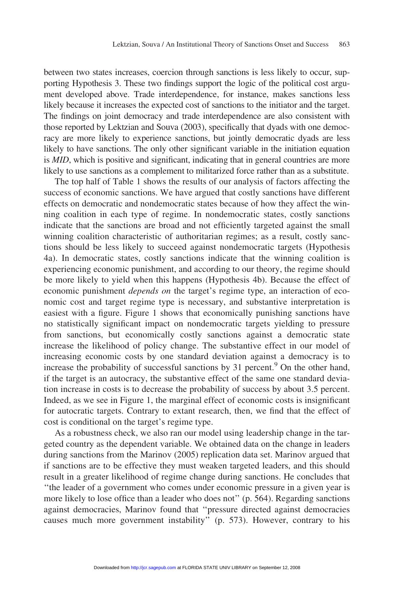between two states increases, coercion through sanctions is less likely to occur, supporting Hypothesis 3. These two findings support the logic of the political cost argument developed above. Trade interdependence, for instance, makes sanctions less likely because it increases the expected cost of sanctions to the initiator and the target. The findings on joint democracy and trade interdependence are also consistent with those reported by Lektzian and Souva (2003), specifically that dyads with one democracy are more likely to experience sanctions, but jointly democratic dyads are less likely to have sanctions. The only other significant variable in the initiation equation is MID, which is positive and significant, indicating that in general countries are more likely to use sanctions as a complement to militarized force rather than as a substitute.

The top half of Table 1 shows the results of our analysis of factors affecting the success of economic sanctions. We have argued that costly sanctions have different effects on democratic and nondemocratic states because of how they affect the winning coalition in each type of regime. In nondemocratic states, costly sanctions indicate that the sanctions are broad and not efficiently targeted against the small winning coalition characteristic of authoritarian regimes; as a result, costly sanctions should be less likely to succeed against nondemocratic targets (Hypothesis 4a). In democratic states, costly sanctions indicate that the winning coalition is experiencing economic punishment, and according to our theory, the regime should be more likely to yield when this happens (Hypothesis 4b). Because the effect of economic punishment depends on the target's regime type, an interaction of economic cost and target regime type is necessary, and substantive interpretation is easiest with a figure. Figure 1 shows that economically punishing sanctions have no statistically significant impact on nondemocratic targets yielding to pressure from sanctions, but economically costly sanctions against a democratic state increase the likelihood of policy change. The substantive effect in our model of increasing economic costs by one standard deviation against a democracy is to increase the probability of successful sanctions by 31 percent.<sup>9</sup> On the other hand, if the target is an autocracy, the substantive effect of the same one standard deviation increase in costs is to decrease the probability of success by about 3.5 percent. Indeed, as we see in Figure 1, the marginal effect of economic costs is insignificant for autocratic targets. Contrary to extant research, then, we find that the effect of cost is conditional on the target's regime type.

As a robustness check, we also ran our model using leadership change in the targeted country as the dependent variable. We obtained data on the change in leaders during sanctions from the Marinov (2005) replication data set. Marinov argued that if sanctions are to be effective they must weaken targeted leaders, and this should result in a greater likelihood of regime change during sanctions. He concludes that ''the leader of a government who comes under economic pressure in a given year is more likely to lose office than a leader who does not'' (p. 564). Regarding sanctions against democracies, Marinov found that ''pressure directed against democracies causes much more government instability'' (p. 573). However, contrary to his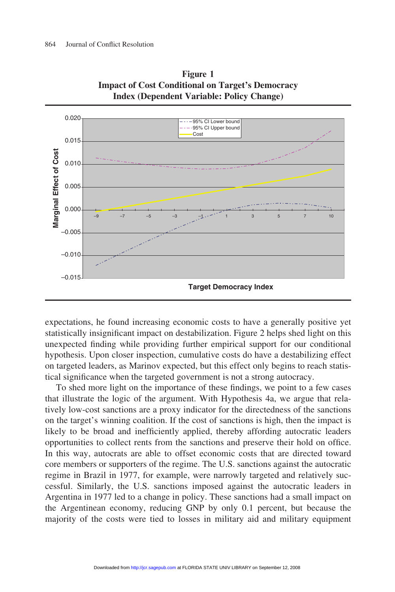

Figure 1 Impact of Cost Conditional on Target's Democracy Index (Dependent Variable: Policy Change)

expectations, he found increasing economic costs to have a generally positive yet statistically insignificant impact on destabilization. Figure 2 helps shed light on this unexpected finding while providing further empirical support for our conditional hypothesis. Upon closer inspection, cumulative costs do have a destabilizing effect on targeted leaders, as Marinov expected, but this effect only begins to reach statistical significance when the targeted government is not a strong autocracy.

To shed more light on the importance of these findings, we point to a few cases that illustrate the logic of the argument. With Hypothesis 4a, we argue that relatively low-cost sanctions are a proxy indicator for the directedness of the sanctions on the target's winning coalition. If the cost of sanctions is high, then the impact is likely to be broad and inefficiently applied, thereby affording autocratic leaders opportunities to collect rents from the sanctions and preserve their hold on office. In this way, autocrats are able to offset economic costs that are directed toward core members or supporters of the regime. The U.S. sanctions against the autocratic regime in Brazil in 1977, for example, were narrowly targeted and relatively successful. Similarly, the U.S. sanctions imposed against the autocratic leaders in Argentina in 1977 led to a change in policy. These sanctions had a small impact on the Argentinean economy, reducing GNP by only 0.1 percent, but because the majority of the costs were tied to losses in military aid and military equipment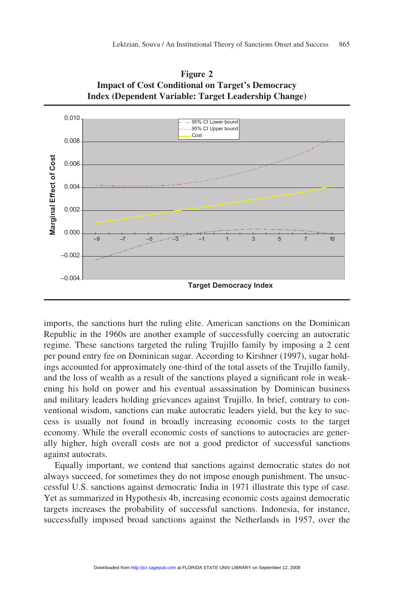



imports, the sanctions hurt the ruling elite. American sanctions on the Dominican Republic in the 1960s are another example of successfully coercing an autocratic regime. These sanctions targeted the ruling Trujillo family by imposing a 2 cent per pound entry fee on Dominican sugar. According to Kirshner (1997), sugar holdings accounted for approximately one-third of the total assets of the Trujillo family, and the loss of wealth as a result of the sanctions played a significant role in weakening his hold on power and his eventual assassination by Dominican business and military leaders holding grievances against Trujillo. In brief, contrary to conventional wisdom, sanctions can make autocratic leaders yield, but the key to success is usually not found in broadly increasing economic costs to the target economy. While the overall economic costs of sanctions to autocracies are generally higher, high overall costs are not a good predictor of successful sanctions against autocrats.

Equally important, we contend that sanctions against democratic states do not always succeed, for sometimes they do not impose enough punishment. The unsuccessful U.S. sanctions against democratic India in 1971 illustrate this type of case. Yet as summarized in Hypothesis 4b, increasing economic costs against democratic targets increases the probability of successful sanctions. Indonesia, for instance, successfully imposed broad sanctions against the Netherlands in 1957, over the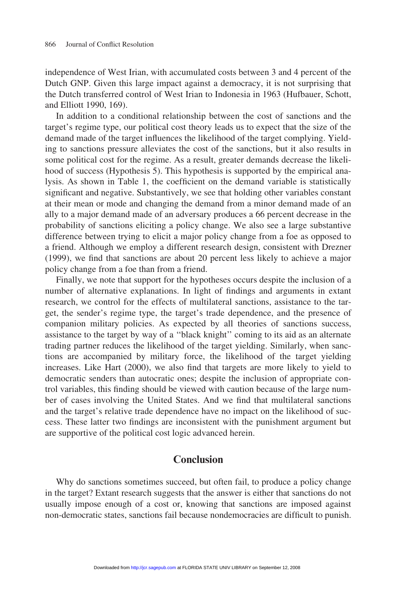independence of West Irian, with accumulated costs between 3 and 4 percent of the Dutch GNP. Given this large impact against a democracy, it is not surprising that the Dutch transferred control of West Irian to Indonesia in 1963 (Hufbauer, Schott, and Elliott 1990, 169).

In addition to a conditional relationship between the cost of sanctions and the target's regime type, our political cost theory leads us to expect that the size of the demand made of the target influences the likelihood of the target complying. Yielding to sanctions pressure alleviates the cost of the sanctions, but it also results in some political cost for the regime. As a result, greater demands decrease the likelihood of success (Hypothesis 5). This hypothesis is supported by the empirical analysis. As shown in Table 1, the coefficient on the demand variable is statistically significant and negative. Substantively, we see that holding other variables constant at their mean or mode and changing the demand from a minor demand made of an ally to a major demand made of an adversary produces a 66 percent decrease in the probability of sanctions eliciting a policy change. We also see a large substantive difference between trying to elicit a major policy change from a foe as opposed to a friend. Although we employ a different research design, consistent with Drezner (1999), we find that sanctions are about 20 percent less likely to achieve a major policy change from a foe than from a friend.

Finally, we note that support for the hypotheses occurs despite the inclusion of a number of alternative explanations. In light of findings and arguments in extant research, we control for the effects of multilateral sanctions, assistance to the target, the sender's regime type, the target's trade dependence, and the presence of companion military policies. As expected by all theories of sanctions success, assistance to the target by way of a ''black knight'' coming to its aid as an alternate trading partner reduces the likelihood of the target yielding. Similarly, when sanctions are accompanied by military force, the likelihood of the target yielding increases. Like Hart (2000), we also find that targets are more likely to yield to democratic senders than autocratic ones; despite the inclusion of appropriate control variables, this finding should be viewed with caution because of the large number of cases involving the United States. And we find that multilateral sanctions and the target's relative trade dependence have no impact on the likelihood of success. These latter two findings are inconsistent with the punishment argument but are supportive of the political cost logic advanced herein.

# Conclusion

Why do sanctions sometimes succeed, but often fail, to produce a policy change in the target? Extant research suggests that the answer is either that sanctions do not usually impose enough of a cost or, knowing that sanctions are imposed against non-democratic states, sanctions fail because nondemocracies are difficult to punish.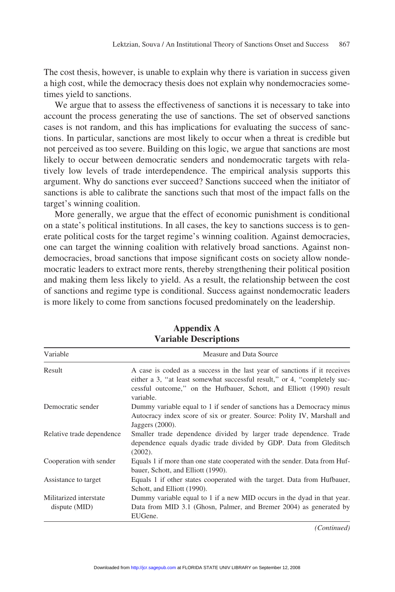The cost thesis, however, is unable to explain why there is variation in success given a high cost, while the democracy thesis does not explain why nondemocracies sometimes yield to sanctions.

We argue that to assess the effectiveness of sanctions it is necessary to take into account the process generating the use of sanctions. The set of observed sanctions cases is not random, and this has implications for evaluating the success of sanctions. In particular, sanctions are most likely to occur when a threat is credible but not perceived as too severe. Building on this logic, we argue that sanctions are most likely to occur between democratic senders and nondemocratic targets with relatively low levels of trade interdependence. The empirical analysis supports this argument. Why do sanctions ever succeed? Sanctions succeed when the initiator of sanctions is able to calibrate the sanctions such that most of the impact falls on the target's winning coalition.

More generally, we argue that the effect of economic punishment is conditional on a state's political institutions. In all cases, the key to sanctions success is to generate political costs for the target regime's winning coalition. Against democracies, one can target the winning coalition with relatively broad sanctions. Against nondemocracies, broad sanctions that impose significant costs on society allow nondemocratic leaders to extract more rents, thereby strengthening their political position and making them less likely to yield. As a result, the relationship between the cost of sanctions and regime type is conditional. Success against nondemocratic leaders is more likely to come from sanctions focused predominately on the leadership.

| variavit Dustriptions                   |                                                                                                                                                                                                                                             |  |  |
|-----------------------------------------|---------------------------------------------------------------------------------------------------------------------------------------------------------------------------------------------------------------------------------------------|--|--|
| Variable                                | Measure and Data Source                                                                                                                                                                                                                     |  |  |
| Result                                  | A case is coded as a success in the last year of sanctions if it receives<br>either a 3, "at least somewhat successful result," or 4, "completely suc-<br>cessful outcome," on the Hufbauer, Schott, and Elliott (1990) result<br>variable. |  |  |
| Democratic sender                       | Dummy variable equal to 1 if sender of sanctions has a Democracy minus<br>Autocracy index score of six or greater. Source: Polity IV, Marshall and<br>Jaggers $(2000)$ .                                                                    |  |  |
| Relative trade dependence               | Smaller trade dependence divided by larger trade dependence. Trade<br>dependence equals dyadic trade divided by GDP. Data from Gleditsch<br>$(2002)$ .                                                                                      |  |  |
| Cooperation with sender                 | Equals 1 if more than one state cooperated with the sender. Data from Huf-<br>bauer, Schott, and Elliott (1990).                                                                                                                            |  |  |
| Assistance to target                    | Equals 1 if other states cooperated with the target. Data from Hufbauer,<br>Schott, and Elliott (1990).                                                                                                                                     |  |  |
| Militarized interstate<br>dispute (MID) | Dummy variable equal to 1 if a new MID occurs in the dyad in that year.<br>Data from MID 3.1 (Ghosn, Palmer, and Bremer 2004) as generated by<br>EUGene.                                                                                    |  |  |

Appendix A Variable Descriptions

(Continued)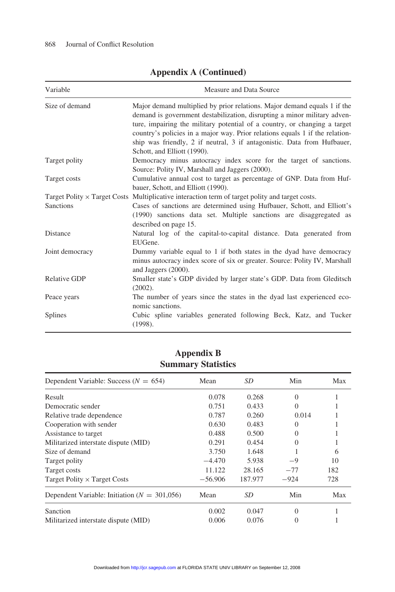| Variable            | Measure and Data Source                                                                                                                                                                                                                                                                                                                                                                                                     |
|---------------------|-----------------------------------------------------------------------------------------------------------------------------------------------------------------------------------------------------------------------------------------------------------------------------------------------------------------------------------------------------------------------------------------------------------------------------|
| Size of demand      | Major demand multiplied by prior relations. Major demand equals 1 if the<br>demand is government destabilization, disrupting a minor military adven-<br>ture, impairing the military potential of a country, or changing a target<br>country's policies in a major way. Prior relations equals 1 if the relation-<br>ship was friendly, 2 if neutral, 3 if antagonistic. Data from Hufbauer,<br>Schott, and Elliott (1990). |
| Target polity       | Democracy minus autocracy index score for the target of sanctions.<br>Source: Polity IV, Marshall and Jaggers (2000).                                                                                                                                                                                                                                                                                                       |
| Target costs        | Cumulative annual cost to target as percentage of GNP. Data from Huf-<br>bauer, Schott, and Elliott (1990).                                                                                                                                                                                                                                                                                                                 |
|                     | Target Polity $\times$ Target Costs Multiplicative interaction term of target polity and target costs.                                                                                                                                                                                                                                                                                                                      |
| <b>Sanctions</b>    | Cases of sanctions are determined using Hufbauer, Schott, and Elliott's<br>(1990) sanctions data set. Multiple sanctions are disaggregated as<br>described on page 15.                                                                                                                                                                                                                                                      |
| Distance            | Natural log of the capital-to-capital distance. Data generated from<br>EUGene.                                                                                                                                                                                                                                                                                                                                              |
| Joint democracy     | Dummy variable equal to 1 if both states in the dyad have democracy<br>minus autocracy index score of six or greater. Source: Polity IV, Marshall<br>and Jaggers (2000).                                                                                                                                                                                                                                                    |
| <b>Relative GDP</b> | Smaller state's GDP divided by larger state's GDP. Data from Gleditsch<br>$(2002)$ .                                                                                                                                                                                                                                                                                                                                        |
| Peace years         | The number of years since the states in the dyad last experienced eco-<br>nomic sanctions.                                                                                                                                                                                                                                                                                                                                  |
| <b>Splines</b>      | Cubic spline variables generated following Beck, Katz, and Tucker<br>(1998).                                                                                                                                                                                                                                                                                                                                                |

# Appendix A (Continued)

| <b>Summary Statistics</b>                        |           |         |                   |     |  |  |  |
|--------------------------------------------------|-----------|---------|-------------------|-----|--|--|--|
| Dependent Variable: Success ( $N = 654$ )        | Mean      | SD      | Min               | Max |  |  |  |
| Result                                           | 0.078     | 0.268   | $\Omega$          |     |  |  |  |
| Democratic sender                                | 0.751     | 0.433   | $\Omega$          |     |  |  |  |
| Relative trade dependence                        | 0.787     | 0.260   | 0.014             |     |  |  |  |
| Cooperation with sender                          | 0.630     | 0.483   | $\Omega$          |     |  |  |  |
| Assistance to target                             | 0.488     | 0.500   | $\mathbf{\Omega}$ |     |  |  |  |
| Militarized interstate dispute (MID)             | 0.291     | 0.454   |                   |     |  |  |  |
| Size of demand                                   | 3.750     | 1.648   |                   | 6   |  |  |  |
| Target polity                                    | $-4.470$  | 5.938   | $-9$              | 10  |  |  |  |
| Target costs                                     | 11.122    | 28.165  | $-77$             | 182 |  |  |  |
| Target Polity $\times$ Target Costs              | $-56.906$ | 187.977 | $-924$            | 728 |  |  |  |
| Dependent Variable: Initiation ( $N = 301,056$ ) | Mean      | SD      | Min               | Max |  |  |  |
| Sanction                                         | 0.002     | 0.047   | $\Omega$          |     |  |  |  |
| Militarized interstate dispute (MID)             | 0.006     | 0.076   |                   |     |  |  |  |

# Appendix B Summary Statistics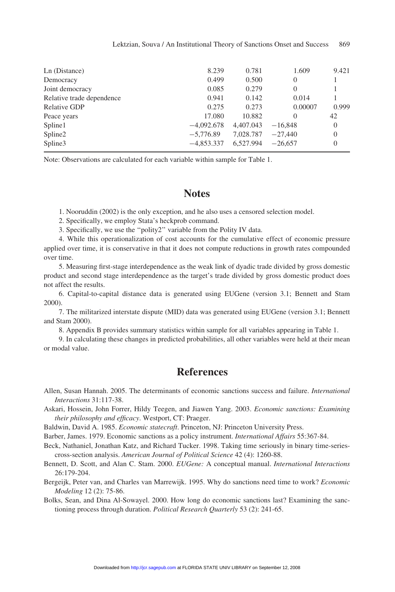| Ln (Distance)                | 8.239          | 0.781          | 1.609                | 9.421    |
|------------------------------|----------------|----------------|----------------------|----------|
| Democracy<br>Joint democracy | 0.499<br>0.085 | 0.500<br>0.279 | $\Omega$<br>$\Omega$ |          |
| Relative trade dependence    | 0.941          | 0.142          | 0.014                |          |
| Relative GDP                 | 0.275          | 0.273          | 0.00007              | 0.999    |
| Peace years                  | 17.080         | 10.882         | 0                    | 42       |
| Spline1                      | $-4.092.678$   | 4.407.043      | $-16,848$            | $\Omega$ |
| Spline <sub>2</sub>          | $-5,776.89$    | 7,028.787      | $-27,440$            | $\Omega$ |
| Spline3                      | $-4,853.337$   | 6.527.994      | $-26,657$            | $\Omega$ |

Note: Observations are calculated for each variable within sample for Table 1.

# **Notes**

1. Nooruddin (2002) is the only exception, and he also uses a censored selection model.

2. Specifically, we employ Stata's heckprob command.

3. Specifically, we use the ''polity2'' variable from the Polity IV data.

4. While this operationalization of cost accounts for the cumulative effect of economic pressure applied over time, it is conservative in that it does not compute reductions in growth rates compounded over time.

5. Measuring first-stage interdependence as the weak link of dyadic trade divided by gross domestic product and second stage interdependence as the target's trade divided by gross domestic product does not affect the results.

6. Capital-to-capital distance data is generated using EUGene (version 3.1; Bennett and Stam 2000).

7. The militarized interstate dispute (MID) data was generated using EUGene (version 3.1; Bennett and Stam 2000).

8. Appendix B provides summary statistics within sample for all variables appearing in Table 1.

9. In calculating these changes in predicted probabilities, all other variables were held at their mean or modal value.

# **References**

Allen, Susan Hannah. 2005. The determinants of economic sanctions success and failure. International Interactions 31:117-38.

Askari, Hossein, John Forrer, Hildy Teegen, and Jiawen Yang. 2003. Economic sanctions: Examining their philosophy and efficacy. Westport, CT: Praeger.

Baldwin, David A. 1985. Economic statecraft. Princeton, NJ: Princeton University Press.

Barber, James. 1979. Economic sanctions as a policy instrument. International Affairs 55:367-84.

Beck, Nathaniel, Jonathan Katz, and Richard Tucker. 1998. Taking time seriously in binary time-seriescross-section analysis. American Journal of Political Science 42 (4): 1260-88.

Bennett, D. Scott, and Alan C. Stam. 2000. *EUGene:* A conceptual manual. *International Interactions* 26:179-204.

Bergeijk, Peter van, and Charles van Marrewijk. 1995. Why do sanctions need time to work? Economic Modeling 12 (2): 75-86.

Bolks, Sean, and Dina Al-Sowayel. 2000. How long do economic sanctions last? Examining the sanctioning process through duration. Political Research Quarterly 53 (2): 241-65.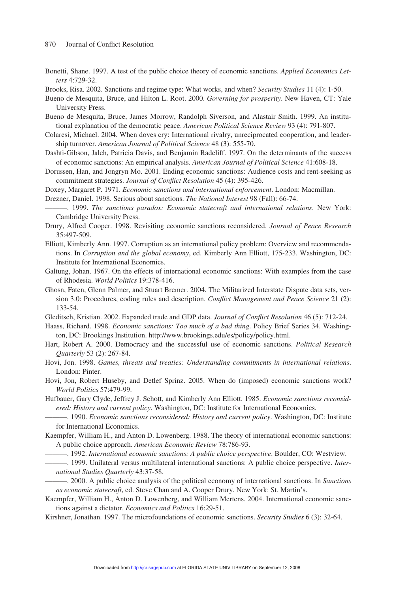- Bonetti, Shane. 1997. A test of the public choice theory of economic sanctions. Applied Economics Letters 4:729-32.
- Brooks, Risa. 2002. Sanctions and regime type: What works, and when? Security Studies 11 (4): 1-50.
- Bueno de Mesquita, Bruce, and Hilton L. Root. 2000. Governing for prosperity. New Haven, CT: Yale University Press.
- Bueno de Mesquita, Bruce, James Morrow, Randolph Siverson, and Alastair Smith. 1999. An institutional explanation of the democratic peace. American Political Science Review 93 (4): 791-807.
- Colaresi, Michael. 2004. When doves cry: International rivalry, unreciprocated cooperation, and leadership turnover. American Journal of Political Science 48 (3): 555-70.
- Dashti-Gibson, Jaleh, Patricia Davis, and Benjamin Radcliff. 1997. On the determinants of the success of economic sanctions: An empirical analysis. American Journal of Political Science 41:608-18.
- Dorussen, Han, and Jongryn Mo. 2001. Ending economic sanctions: Audience costs and rent-seeking as commitment strategies. Journal of Conflict Resolution 45 (4): 395-426.

Doxey, Margaret P. 1971. Economic sanctions and international enforcement. London: Macmillan.

Drezner, Daniel. 1998. Serious about sanctions. The National Interest 98 (Fall): 66-74.

———. 1999. The sanctions paradox: Economic statecraft and international relations. New York: Cambridge University Press.

- Drury, Alfred Cooper. 1998. Revisiting economic sanctions reconsidered. Journal of Peace Research 35:497-509.
- Elliott, Kimberly Ann. 1997. Corruption as an international policy problem: Overview and recommendations. In Corruption and the global economy, ed. Kimberly Ann Elliott, 175-233. Washington, DC: Institute for International Economics.

Galtung, Johan. 1967. On the effects of international economic sanctions: With examples from the case of Rhodesia. World Politics 19:378-416.

Ghosn, Faten, Glenn Palmer, and Stuart Bremer. 2004. The Militarized Interstate Dispute data sets, version 3.0: Procedures, coding rules and description. Conflict Management and Peace Science 21 (2): 133-54.

Gleditsch, Kristian. 2002. Expanded trade and GDP data. Journal of Conflict Resolution 46 (5): 712-24.

Haass, Richard. 1998. Economic sanctions: Too much of a bad thing. Policy Brief Series 34. Washington, DC: Brookings Institution. http://www.brookings.edu/es/policy/policy.html.

- Hart, Robert A. 2000. Democracy and the successful use of economic sanctions. Political Research Quarterly 53 (2): 267-84.
- Hovi, Jon. 1998. Games, threats and treaties: Understanding commitments in international relations. London: Pinter.
- Hovi, Jon, Robert Huseby, and Detlef Sprinz. 2005. When do (imposed) economic sanctions work? World Politics 57:479-99.
- Hufbauer, Gary Clyde, Jeffrey J. Schott, and Kimberly Ann Elliott. 1985. Economic sanctions reconsidered: History and current policy. Washington, DC: Institute for International Economics.

-. 1990. Economic sanctions reconsidered: History and current policy. Washington, DC: Institute for International Economics.

Kaempfer, William H., and Anton D. Lowenberg. 1988. The theory of international economic sanctions: A public choice approach. American Economic Review 78:786-93.

———. 1992. International economic sanctions: A public choice perspective. Boulder, CO: Westview.

———. 1999. Unilateral versus multilateral international sanctions: A public choice perspective. International Studies Quarterly 43:37-58.

- 2000. A public choice analysis of the political economy of international sanctions. In Sanctions as economic statecraft, ed. Steve Chan and A. Cooper Drury. New York: St. Martin's.

- Kaempfer, William H., Anton D. Lowenberg, and William Mertens. 2004. International economic sanctions against a dictator. Economics and Politics 16:29-51.
- Kirshner, Jonathan. 1997. The microfoundations of economic sanctions. Security Studies 6 (3): 32-64.